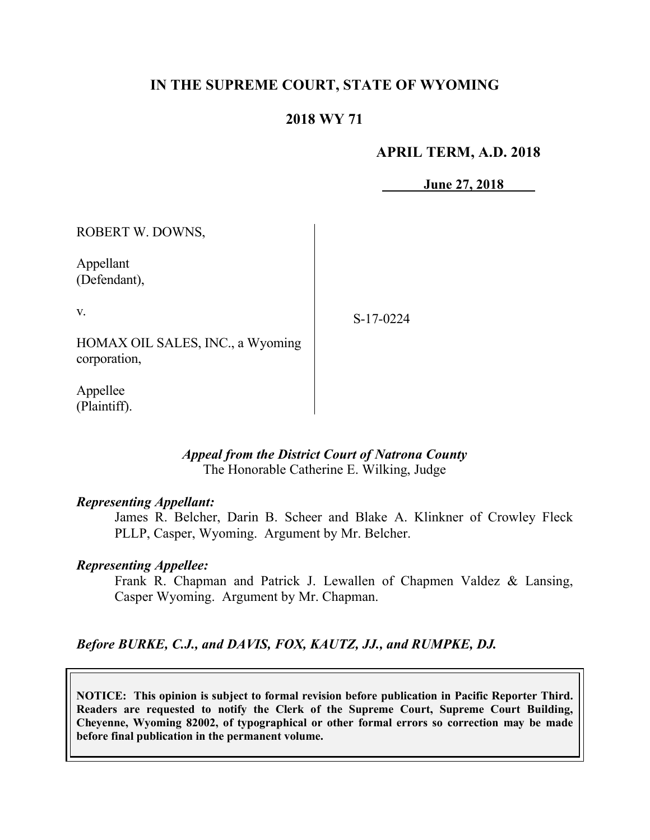# **IN THE SUPREME COURT, STATE OF WYOMING**

### **2018 WY 71**

### **APRIL TERM, A.D. 2018**

**June 27, 2018**

ROBERT W. DOWNS,

Appellant (Defendant),

v.

S-17-0224

HOMAX OIL SALES, INC., a Wyoming corporation,

Appellee (Plaintiff).

#### *Appeal from the District Court of Natrona County* The Honorable Catherine E. Wilking, Judge

### *Representing Appellant:*

James R. Belcher, Darin B. Scheer and Blake A. Klinkner of Crowley Fleck PLLP, Casper, Wyoming. Argument by Mr. Belcher.

#### *Representing Appellee:*

Frank R. Chapman and Patrick J. Lewallen of Chapmen Valdez & Lansing, Casper Wyoming. Argument by Mr. Chapman.

### *Before BURKE, C.J., and DAVIS, FOX, KAUTZ, JJ., and RUMPKE, DJ.*

**NOTICE: This opinion is subject to formal revision before publication in Pacific Reporter Third. Readers are requested to notify the Clerk of the Supreme Court, Supreme Court Building, Cheyenne, Wyoming 82002, of typographical or other formal errors so correction may be made before final publication in the permanent volume.**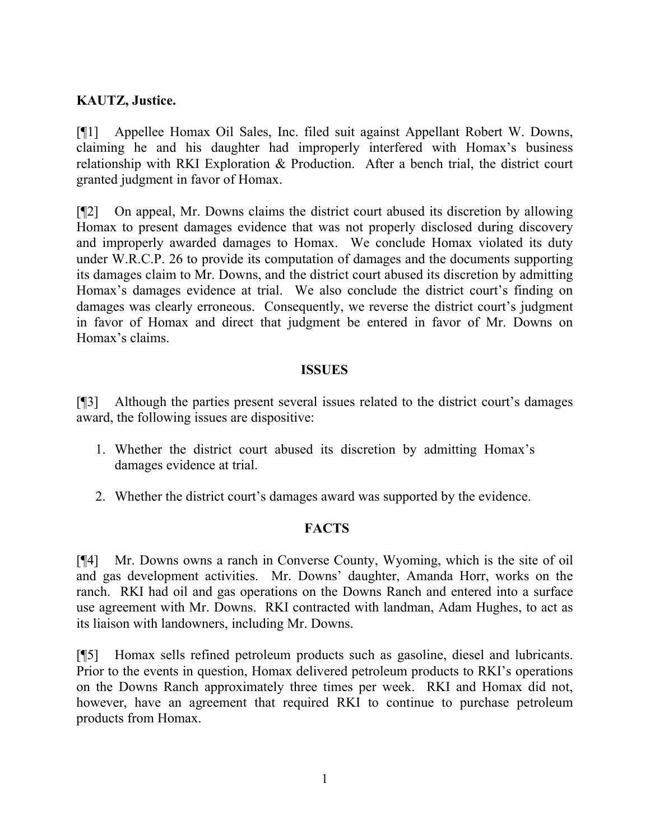# **KAUTZ, Justice.**

[¶1] Appellee Homax Oil Sales, Inc. filed suit against Appellant Robert W. Downs, claiming he and his daughter had improperly interfered with Homax's business relationship with RKI Exploration & Production. After a bench trial, the district court granted judgment in favor of Homax.

[¶2] On appeal, Mr. Downs claims the district court abused its discretion by allowing Homax to present damages evidence that was not properly disclosed during discovery and improperly awarded damages to Homax. We conclude Homax violated its duty under W.R.C.P. 26 to provide its computation of damages and the documents supporting its damages claim to Mr. Downs, and the district court abused its discretion by admitting Homax's damages evidence at trial. We also conclude the district court's finding on damages was clearly erroneous. Consequently, we reverse the district court's judgment in favor of Homax and direct that judgment be entered in favor of Mr. Downs on Homax's claims.

## **ISSUES**

[¶3] Although the parties present several issues related to the district court's damages award, the following issues are dispositive:

- 1. Whether the district court abused its discretion by admitting Homax's damages evidence at trial.
- 2. Whether the district court's damages award was supported by the evidence.

# **FACTS**

[¶4] Mr. Downs owns a ranch in Converse County, Wyoming, which is the site of oil and gas development activities. Mr. Downs' daughter, Amanda Horr, works on the ranch. RKI had oil and gas operations on the Downs Ranch and entered into a surface use agreement with Mr. Downs. RKI contracted with landman, Adam Hughes, to act as its liaison with landowners, including Mr. Downs.

[¶5] Homax sells refined petroleum products such as gasoline, diesel and lubricants. Prior to the events in question, Homax delivered petroleum products to RKI's operations on the Downs Ranch approximately three times per week. RKI and Homax did not, however, have an agreement that required RKI to continue to purchase petroleum products from Homax.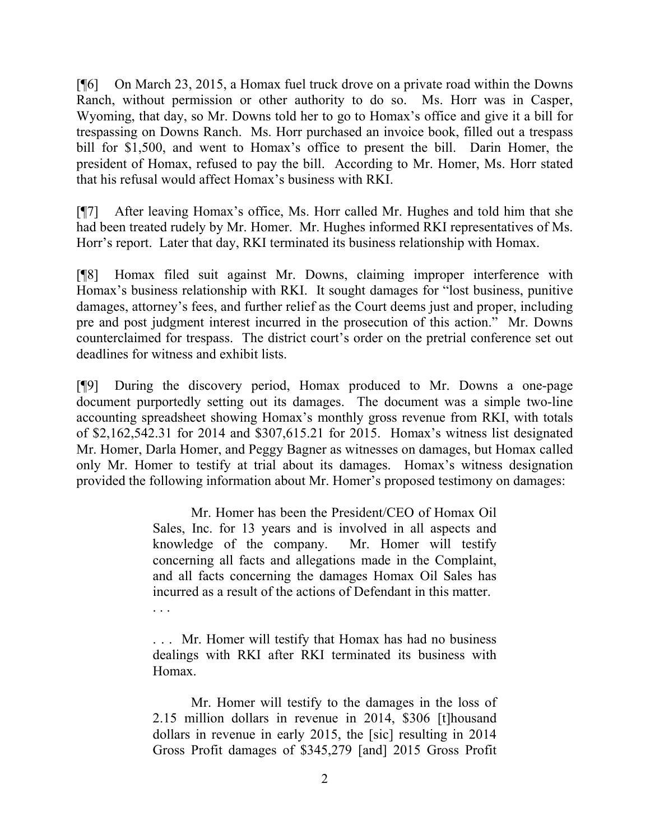[¶6] On March 23, 2015, a Homax fuel truck drove on a private road within the Downs Ranch, without permission or other authority to do so. Ms. Horr was in Casper, Wyoming, that day, so Mr. Downs told her to go to Homax's office and give it a bill for trespassing on Downs Ranch. Ms. Horr purchased an invoice book, filled out a trespass bill for \$1,500, and went to Homax's office to present the bill. Darin Homer, the president of Homax, refused to pay the bill. According to Mr. Homer, Ms. Horr stated that his refusal would affect Homax's business with RKI.

[¶7] After leaving Homax's office, Ms. Horr called Mr. Hughes and told him that she had been treated rudely by Mr. Homer. Mr. Hughes informed RKI representatives of Ms. Horr's report. Later that day, RKI terminated its business relationship with Homax.

[¶8] Homax filed suit against Mr. Downs, claiming improper interference with Homax's business relationship with RKI. It sought damages for "lost business, punitive damages, attorney's fees, and further relief as the Court deems just and proper, including pre and post judgment interest incurred in the prosecution of this action." Mr. Downs counterclaimed for trespass. The district court's order on the pretrial conference set out deadlines for witness and exhibit lists.

[¶9] During the discovery period, Homax produced to Mr. Downs a one-page document purportedly setting out its damages. The document was a simple two-line accounting spreadsheet showing Homax's monthly gross revenue from RKI, with totals of \$2,162,542.31 for 2014 and \$307,615.21 for 2015. Homax's witness list designated Mr. Homer, Darla Homer, and Peggy Bagner as witnesses on damages, but Homax called only Mr. Homer to testify at trial about its damages. Homax's witness designation provided the following information about Mr. Homer's proposed testimony on damages:

> Mr. Homer has been the President/CEO of Homax Oil Sales, Inc. for 13 years and is involved in all aspects and knowledge of the company. Mr. Homer will testify concerning all facts and allegations made in the Complaint, and all facts concerning the damages Homax Oil Sales has incurred as a result of the actions of Defendant in this matter.

> . . . Mr. Homer will testify that Homax has had no business dealings with RKI after RKI terminated its business with Homax.

> Mr. Homer will testify to the damages in the loss of 2.15 million dollars in revenue in 2014, \$306 [t]housand dollars in revenue in early 2015, the [sic] resulting in 2014 Gross Profit damages of \$345,279 [and] 2015 Gross Profit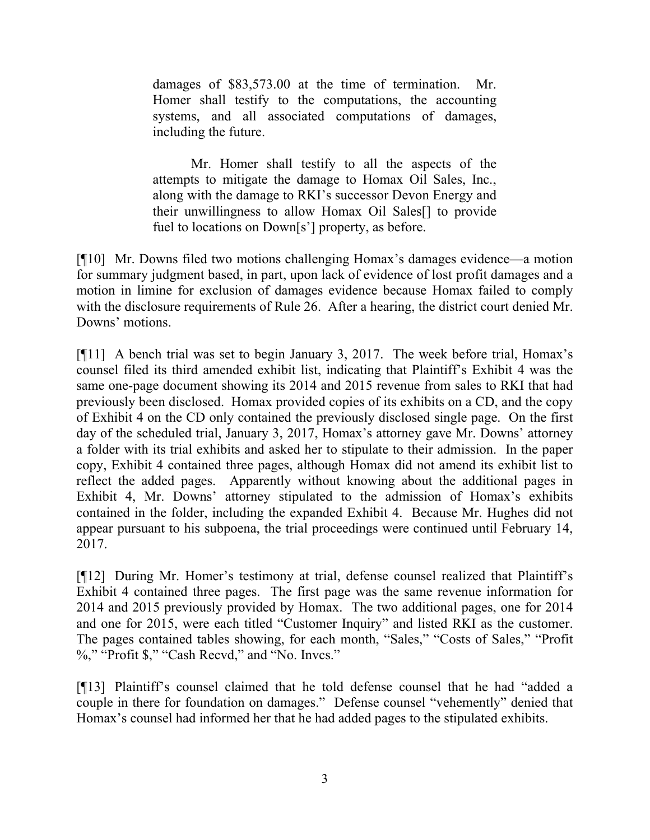damages of \$83,573.00 at the time of termination. Mr. Homer shall testify to the computations, the accounting systems, and all associated computations of damages, including the future.

Mr. Homer shall testify to all the aspects of the attempts to mitigate the damage to Homax Oil Sales, Inc., along with the damage to RKI's successor Devon Energy and their unwillingness to allow Homax Oil Sales[] to provide fuel to locations on Down[s'] property, as before.

[¶10] Mr. Downs filed two motions challenging Homax's damages evidence—a motion for summary judgment based, in part, upon lack of evidence of lost profit damages and a motion in limine for exclusion of damages evidence because Homax failed to comply with the disclosure requirements of Rule 26. After a hearing, the district court denied Mr. Downs' motions.

[¶11] A bench trial was set to begin January 3, 2017. The week before trial, Homax's counsel filed its third amended exhibit list, indicating that Plaintiff's Exhibit 4 was the same one-page document showing its 2014 and 2015 revenue from sales to RKI that had previously been disclosed. Homax provided copies of its exhibits on a CD, and the copy of Exhibit 4 on the CD only contained the previously disclosed single page. On the first day of the scheduled trial, January 3, 2017, Homax's attorney gave Mr. Downs' attorney a folder with its trial exhibits and asked her to stipulate to their admission. In the paper copy, Exhibit 4 contained three pages, although Homax did not amend its exhibit list to reflect the added pages. Apparently without knowing about the additional pages in Exhibit 4, Mr. Downs' attorney stipulated to the admission of Homax's exhibits contained in the folder, including the expanded Exhibit 4. Because Mr. Hughes did not appear pursuant to his subpoena, the trial proceedings were continued until February 14, 2017.

[¶12] During Mr. Homer's testimony at trial, defense counsel realized that Plaintiff's Exhibit 4 contained three pages. The first page was the same revenue information for 2014 and 2015 previously provided by Homax. The two additional pages, one for 2014 and one for 2015, were each titled "Customer Inquiry" and listed RKI as the customer. The pages contained tables showing, for each month, "Sales," "Costs of Sales," "Profit %," "Profit \$," "Cash Recvd," and "No. Invcs."

[¶13] Plaintiff's counsel claimed that he told defense counsel that he had "added a couple in there for foundation on damages." Defense counsel "vehemently" denied that Homax's counsel had informed her that he had added pages to the stipulated exhibits.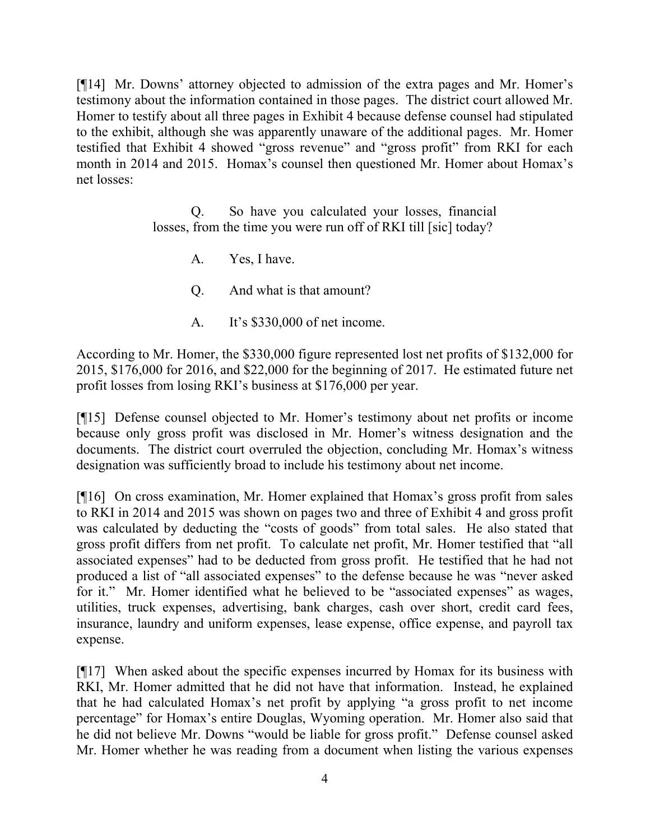[¶14] Mr. Downs' attorney objected to admission of the extra pages and Mr. Homer's testimony about the information contained in those pages. The district court allowed Mr. Homer to testify about all three pages in Exhibit 4 because defense counsel had stipulated to the exhibit, although she was apparently unaware of the additional pages. Mr. Homer testified that Exhibit 4 showed "gross revenue" and "gross profit" from RKI for each month in 2014 and 2015. Homax's counsel then questioned Mr. Homer about Homax's net losses:

> Q. So have you calculated your losses, financial losses, from the time you were run off of RKI till [sic] today?

A. Yes, I have.

Q. And what is that amount?

A. It's \$330,000 of net income.

According to Mr. Homer, the \$330,000 figure represented lost net profits of \$132,000 for 2015, \$176,000 for 2016, and \$22,000 for the beginning of 2017. He estimated future net profit losses from losing RKI's business at \$176,000 per year.

[¶15] Defense counsel objected to Mr. Homer's testimony about net profits or income because only gross profit was disclosed in Mr. Homer's witness designation and the documents. The district court overruled the objection, concluding Mr. Homax's witness designation was sufficiently broad to include his testimony about net income.

[¶16] On cross examination, Mr. Homer explained that Homax's gross profit from sales to RKI in 2014 and 2015 was shown on pages two and three of Exhibit 4 and gross profit was calculated by deducting the "costs of goods" from total sales. He also stated that gross profit differs from net profit. To calculate net profit, Mr. Homer testified that "all associated expenses" had to be deducted from gross profit. He testified that he had not produced a list of "all associated expenses" to the defense because he was "never asked for it." Mr. Homer identified what he believed to be "associated expenses" as wages, utilities, truck expenses, advertising, bank charges, cash over short, credit card fees, insurance, laundry and uniform expenses, lease expense, office expense, and payroll tax expense.

[¶17] When asked about the specific expenses incurred by Homax for its business with RKI, Mr. Homer admitted that he did not have that information. Instead, he explained that he had calculated Homax's net profit by applying "a gross profit to net income percentage" for Homax's entire Douglas, Wyoming operation. Mr. Homer also said that he did not believe Mr. Downs "would be liable for gross profit." Defense counsel asked Mr. Homer whether he was reading from a document when listing the various expenses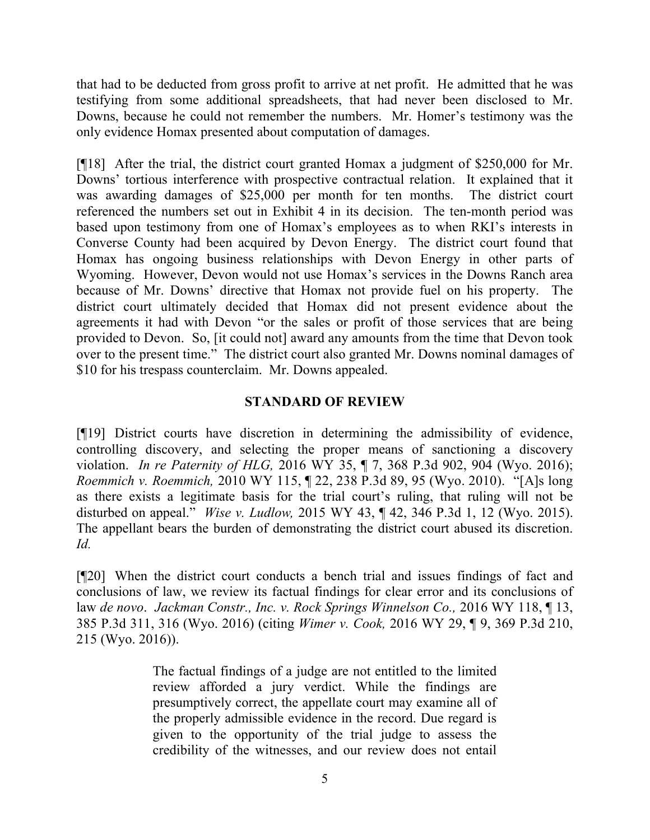that had to be deducted from gross profit to arrive at net profit. He admitted that he was testifying from some additional spreadsheets, that had never been disclosed to Mr. Downs, because he could not remember the numbers. Mr. Homer's testimony was the only evidence Homax presented about computation of damages.

[¶18] After the trial, the district court granted Homax a judgment of \$250,000 for Mr. Downs' tortious interference with prospective contractual relation. It explained that it was awarding damages of \$25,000 per month for ten months. The district court referenced the numbers set out in Exhibit 4 in its decision. The ten-month period was based upon testimony from one of Homax's employees as to when RKI's interests in Converse County had been acquired by Devon Energy. The district court found that Homax has ongoing business relationships with Devon Energy in other parts of Wyoming. However, Devon would not use Homax's services in the Downs Ranch area because of Mr. Downs' directive that Homax not provide fuel on his property. The district court ultimately decided that Homax did not present evidence about the agreements it had with Devon "or the sales or profit of those services that are being provided to Devon. So, [it could not] award any amounts from the time that Devon took over to the present time." The district court also granted Mr. Downs nominal damages of \$10 for his trespass counterclaim. Mr. Downs appealed.

## **STANDARD OF REVIEW**

[¶19] District courts have discretion in determining the admissibility of evidence, controlling discovery, and selecting the proper means of sanctioning a discovery violation. *In re Paternity of HLG,* 2016 WY 35, ¶ 7, 368 P.3d 902, 904 (Wyo. 2016); *Roemmich v. Roemmich,* 2010 WY 115, ¶ 22, 238 P.3d 89, 95 (Wyo. 2010). "[A]s long as there exists a legitimate basis for the trial court's ruling, that ruling will not be disturbed on appeal." *Wise v. Ludlow,* 2015 WY 43, ¶ 42, 346 P.3d 1, 12 (Wyo. 2015). The appellant bears the burden of demonstrating the district court abused its discretion. *Id.* 

[¶20] When the district court conducts a bench trial and issues findings of fact and conclusions of law, we review its factual findings for clear error and its conclusions of law *de novo*. *Jackman Constr., Inc. v. Rock Springs Winnelson Co.,* 2016 WY 118, ¶ 13, 385 P.3d 311, 316 (Wyo. 2016) (citing *Wimer v. Cook,* 2016 WY 29, ¶ 9, 369 P.3d 210, 215 (Wyo. 2016)).

> The factual findings of a judge are not entitled to the limited review afforded a jury verdict. While the findings are presumptively correct, the appellate court may examine all of the properly admissible evidence in the record. Due regard is given to the opportunity of the trial judge to assess the credibility of the witnesses, and our review does not entail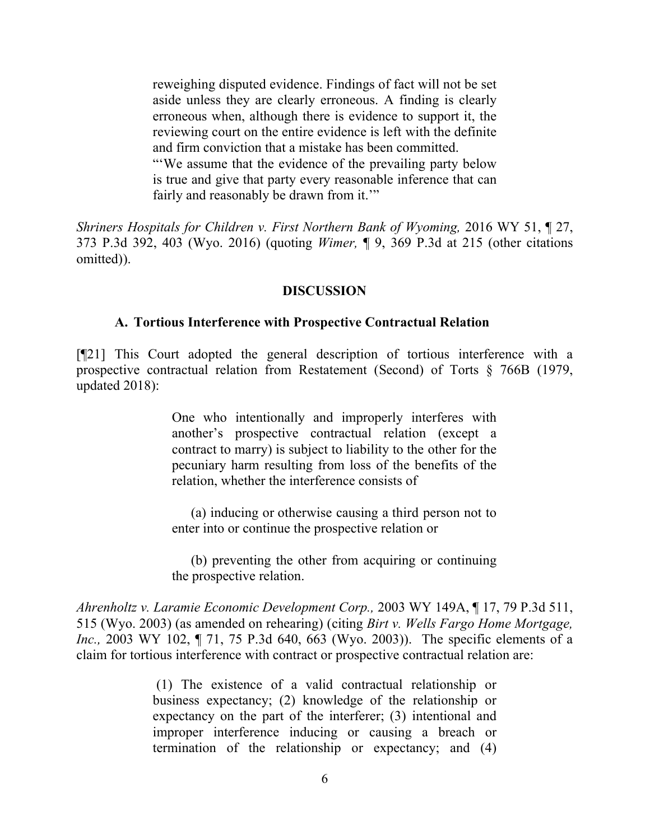reweighing disputed evidence. Findings of fact will not be set aside unless they are clearly erroneous. A finding is clearly erroneous when, although there is evidence to support it, the reviewing court on the entire evidence is left with the definite and firm conviction that a mistake has been committed. "'We assume that the evidence of the prevailing party below

is true and give that party every reasonable inference that can fairly and reasonably be drawn from it."

*Shriners Hospitals for Children v. First Northern Bank of Wyoming,* 2016 WY 51, ¶ 27, 373 P.3d 392, 403 (Wyo. 2016) (quoting *Wimer,* ¶ 9, 369 P.3d at 215 (other citations omitted)).

#### **DISCUSSION**

#### **A. Tortious Interference with Prospective Contractual Relation**

[¶21] This Court adopted the general description of tortious interference with a prospective contractual relation from Restatement (Second) of Torts § 766B (1979, updated 2018):

> One who intentionally and improperly interferes with another's prospective contractual relation (except a contract to marry) is subject to liability to the other for the pecuniary harm resulting from loss of the benefits of the relation, whether the interference consists of

> (a) inducing or otherwise causing a third person not to enter into or continue the prospective relation or

> (b) preventing the other from acquiring or continuing the prospective relation.

*Ahrenholtz v. Laramie Economic Development Corp.,* 2003 WY 149A, ¶ 17, 79 P.3d 511, 515 (Wyo. 2003) (as amended on rehearing) (citing *Birt v. Wells Fargo Home Mortgage, Inc.*, 2003 WY 102, ¶ 71, 75 P.3d 640, 663 (Wyo. 2003)). The specific elements of a claim for tortious interference with contract or prospective contractual relation are:

> (1) The existence of a valid contractual relationship or business expectancy; (2) knowledge of the relationship or expectancy on the part of the interferer; (3) intentional and improper interference inducing or causing a breach or termination of the relationship or expectancy; and (4)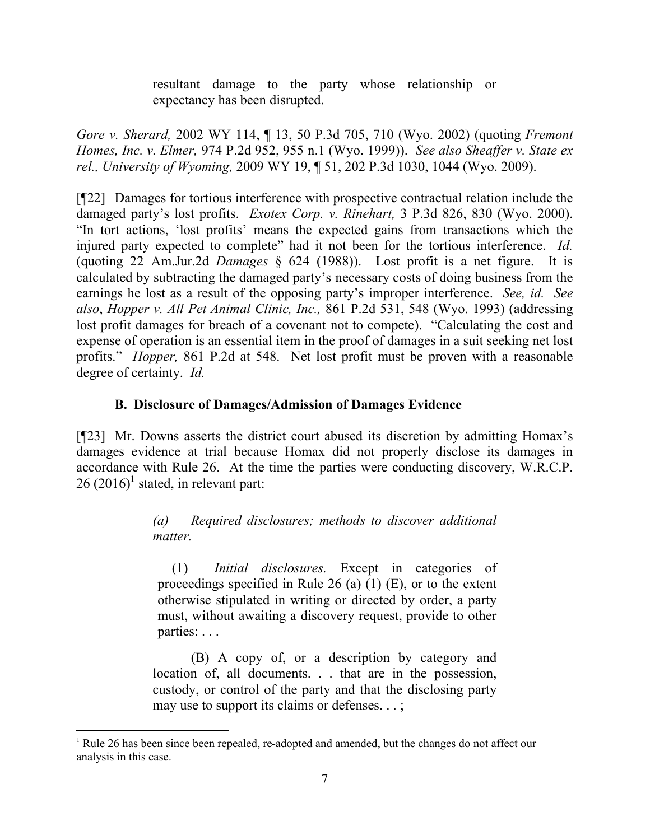resultant damage to the party whose relationship or expectancy has been disrupted.

*Gore v. Sherard,* 2002 WY 114, ¶ 13, 50 P.3d 705, 710 (Wyo. 2002) (quoting *Fremont Homes, Inc. v. Elmer,* 974 P.2d 952, 955 n.1 (Wyo. 1999)). *See also Sheaffer v. State ex rel., University of Wyoming,* 2009 WY 19, ¶ 51, 202 P.3d 1030, 1044 (Wyo. 2009).

[¶22] Damages for tortious interference with prospective contractual relation include the damaged party's lost profits. *Exotex Corp. v. Rinehart,* 3 P.3d 826, 830 (Wyo. 2000). "In tort actions, 'lost profits' means the expected gains from transactions which the injured party expected to complete" had it not been for the tortious interference. *Id.*  (quoting 22 Am.Jur.2d *Damages* § 624 (1988)). Lost profit is a net figure. It is calculated by subtracting the damaged party's necessary costs of doing business from the earnings he lost as a result of the opposing party's improper interference. *See, id. See also*, *Hopper v. All Pet Animal Clinic, Inc.,* 861 P.2d 531, 548 (Wyo. 1993) (addressing lost profit damages for breach of a covenant not to compete). "Calculating the cost and expense of operation is an essential item in the proof of damages in a suit seeking net lost profits." *Hopper,* 861 P.2d at 548. Net lost profit must be proven with a reasonable degree of certainty. *Id.* 

# **B. Disclosure of Damages/Admission of Damages Evidence**

[¶23] Mr. Downs asserts the district court abused its discretion by admitting Homax's damages evidence at trial because Homax did not properly disclose its damages in accordance with Rule 26. At the time the parties were conducting discovery, W.R.C.P.  $26 (2016)^1$  stated, in relevant part:

> *(a) Required disclosures; methods to discover additional matter.*

(1) *Initial disclosures.* Except in categories of proceedings specified in Rule 26 (a)  $(1)$  (E), or to the extent otherwise stipulated in writing or directed by order, a party must, without awaiting a discovery request, provide to other parties: . . .

(B) A copy of, or a description by category and location of, all documents. . . that are in the possession, custody, or control of the party and that the disclosing party may use to support its claims or defenses. . . ;

<sup>&</sup>lt;sup>1</sup> Rule 26 has been since been repealed, re-adopted and amended, but the changes do not affect our analysis in this case.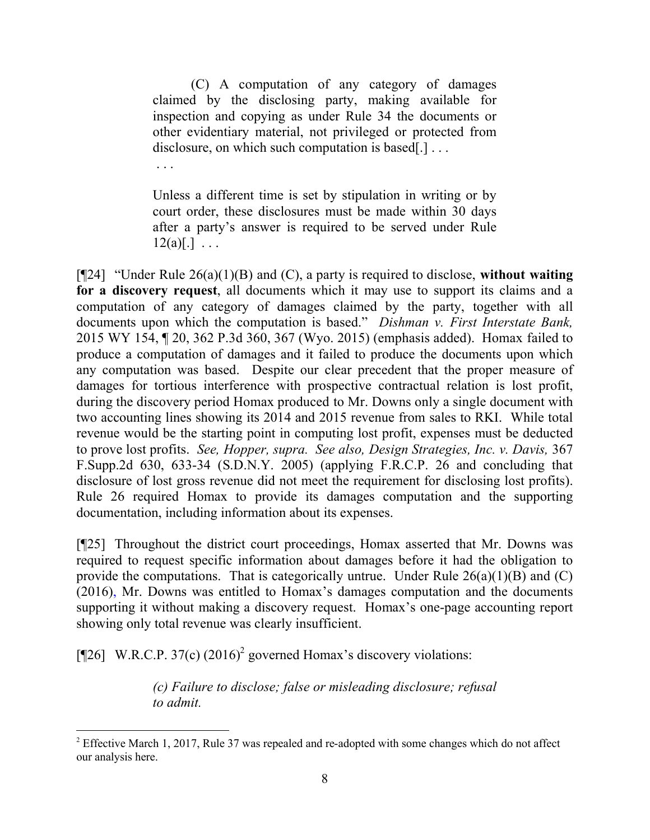(C) A computation of any category of damages claimed by the disclosing party, making available for inspection and copying as under Rule 34 the documents or other evidentiary material, not privileged or protected from disclosure, on which such computation is based.

Unless a different time is set by stipulation in writing or by court order, these disclosures must be made within 30 days after a party's answer is required to be served under Rule  $12(a)[.]$  ...

. . .

[¶24] "Under Rule 26(a)(1)(B) and (C), a party is required to disclose, **without waiting for a discovery request**, all documents which it may use to support its claims and a computation of any category of damages claimed by the party, together with all documents upon which the computation is based." *Dishman v. First Interstate Bank,*  2015 WY 154, ¶ 20, 362 P.3d 360, 367 (Wyo. 2015) (emphasis added). Homax failed to produce a computation of damages and it failed to produce the documents upon which any computation was based. Despite our clear precedent that the proper measure of damages for tortious interference with prospective contractual relation is lost profit, during the discovery period Homax produced to Mr. Downs only a single document with two accounting lines showing its 2014 and 2015 revenue from sales to RKI. While total revenue would be the starting point in computing lost profit, expenses must be deducted to prove lost profits. *See, Hopper, supra. See also, Design Strategies, Inc. v. Davis,* 367 F.Supp.2d 630, 633-34 (S.D.N.Y. 2005) (applying F.R.C.P. 26 and concluding that disclosure of lost gross revenue did not meet the requirement for disclosing lost profits). Rule 26 required Homax to provide its damages computation and the supporting documentation, including information about its expenses.

[¶25] Throughout the district court proceedings, Homax asserted that Mr. Downs was required to request specific information about damages before it had the obligation to provide the computations. That is categorically untrue. Under Rule  $26(a)(1)(B)$  and  $(C)$ (2016), Mr. Downs was entitled to Homax's damages computation and the documents supporting it without making a discovery request. Homax's one-page accounting report showing only total revenue was clearly insufficient.

[¶26] W.R.C.P. 37(c)  $(2016)^2$  governed Homax's discovery violations:

*(c) Failure to disclose; false or misleading disclosure; refusal to admit.*

<sup>&</sup>lt;sup>2</sup> Effective March 1, 2017, Rule 37 was repealed and re-adopted with some changes which do not affect our analysis here.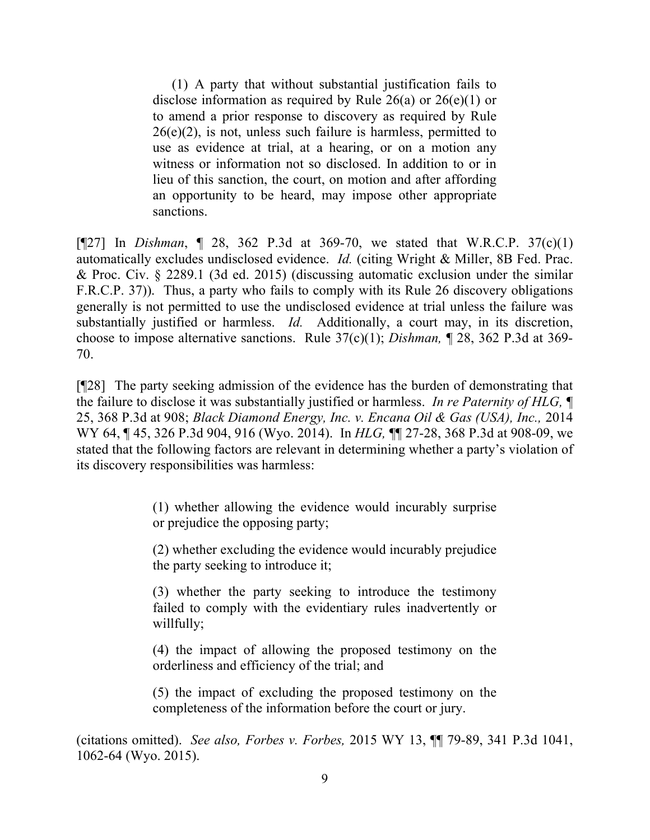(1) A party that without substantial justification fails to disclose information as required by Rule  $26(a)$  or  $26(e)(1)$  or to amend a prior response to discovery as required by Rule  $26(e)(2)$ , is not, unless such failure is harmless, permitted to use as evidence at trial, at a hearing, or on a motion any witness or information not so disclosed. In addition to or in lieu of this sanction, the court, on motion and after affording an opportunity to be heard, may impose other appropriate sanctions.

[¶27] In *Dishman*, ¶ 28, 362 P.3d at 369-70, we stated that W.R.C.P. 37(c)(1) automatically excludes undisclosed evidence. *Id.* (citing Wright & Miller, 8B Fed. Prac. & Proc. Civ. § 2289.1 (3d ed. 2015) (discussing automatic exclusion under the similar F.R.C.P. 37)). Thus, a party who fails to comply with its Rule 26 discovery obligations generally is not permitted to use the undisclosed evidence at trial unless the failure was substantially justified or harmless. *Id.* Additionally, a court may, in its discretion, choose to impose alternative sanctions. Rule 37(c)(1); *Dishman,* ¶ 28, 362 P.3d at 369- 70.

[¶28] The party seeking admission of the evidence has the burden of demonstrating that the failure to disclose it was substantially justified or harmless. *In re Paternity of HLG,* ¶ 25, 368 P.3d at 908; *Black Diamond Energy, Inc. v. Encana Oil & Gas (USA), Inc.,* 2014 WY 64, ¶ 45, 326 P.3d 904, 916 (Wyo. 2014). In *HLG,* ¶¶ 27-28, 368 P.3d at 908-09, we stated that the following factors are relevant in determining whether a party's violation of its discovery responsibilities was harmless:

> (1) whether allowing the evidence would incurably surprise or prejudice the opposing party;

> (2) whether excluding the evidence would incurably prejudice the party seeking to introduce it;

> (3) whether the party seeking to introduce the testimony failed to comply with the evidentiary rules inadvertently or willfully;

> (4) the impact of allowing the proposed testimony on the orderliness and efficiency of the trial; and

> (5) the impact of excluding the proposed testimony on the completeness of the information before the court or jury.

(citations omitted). *See also, Forbes v. Forbes,* 2015 WY 13, ¶¶ 79-89, 341 P.3d 1041, 1062-64 (Wyo. 2015).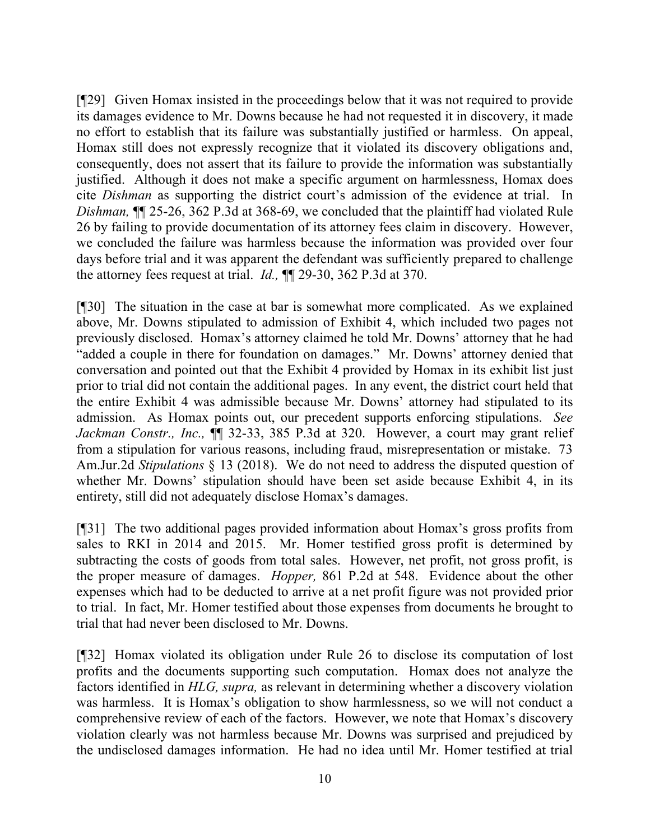[¶29] Given Homax insisted in the proceedings below that it was not required to provide its damages evidence to Mr. Downs because he had not requested it in discovery, it made no effort to establish that its failure was substantially justified or harmless. On appeal, Homax still does not expressly recognize that it violated its discovery obligations and, consequently, does not assert that its failure to provide the information was substantially justified. Although it does not make a specific argument on harmlessness, Homax does cite *Dishman* as supporting the district court's admission of the evidence at trial. In *Dishman,* ¶¶ 25-26, 362 P.3d at 368-69, we concluded that the plaintiff had violated Rule 26 by failing to provide documentation of its attorney fees claim in discovery. However, we concluded the failure was harmless because the information was provided over four days before trial and it was apparent the defendant was sufficiently prepared to challenge the attorney fees request at trial. *Id.,* ¶¶ 29-30, 362 P.3d at 370.

[¶30] The situation in the case at bar is somewhat more complicated. As we explained above, Mr. Downs stipulated to admission of Exhibit 4, which included two pages not previously disclosed. Homax's attorney claimed he told Mr. Downs' attorney that he had "added a couple in there for foundation on damages." Mr. Downs' attorney denied that conversation and pointed out that the Exhibit 4 provided by Homax in its exhibit list just prior to trial did not contain the additional pages. In any event, the district court held that the entire Exhibit 4 was admissible because Mr. Downs' attorney had stipulated to its admission. As Homax points out, our precedent supports enforcing stipulations. *See Jackman Constr., Inc.,* ¶¶ 32-33, 385 P.3d at 320. However, a court may grant relief from a stipulation for various reasons, including fraud, misrepresentation or mistake. 73 Am.Jur.2d *Stipulations* § 13 (2018). We do not need to address the disputed question of whether Mr. Downs' stipulation should have been set aside because Exhibit 4, in its entirety, still did not adequately disclose Homax's damages.

[¶31] The two additional pages provided information about Homax's gross profits from sales to RKI in 2014 and 2015. Mr. Homer testified gross profit is determined by subtracting the costs of goods from total sales. However, net profit, not gross profit, is the proper measure of damages. *Hopper,* 861 P.2d at 548. Evidence about the other expenses which had to be deducted to arrive at a net profit figure was not provided prior to trial. In fact, Mr. Homer testified about those expenses from documents he brought to trial that had never been disclosed to Mr. Downs.

[¶32] Homax violated its obligation under Rule 26 to disclose its computation of lost profits and the documents supporting such computation. Homax does not analyze the factors identified in *HLG, supra,* as relevant in determining whether a discovery violation was harmless. It is Homax's obligation to show harmlessness, so we will not conduct a comprehensive review of each of the factors. However, we note that Homax's discovery violation clearly was not harmless because Mr. Downs was surprised and prejudiced by the undisclosed damages information. He had no idea until Mr. Homer testified at trial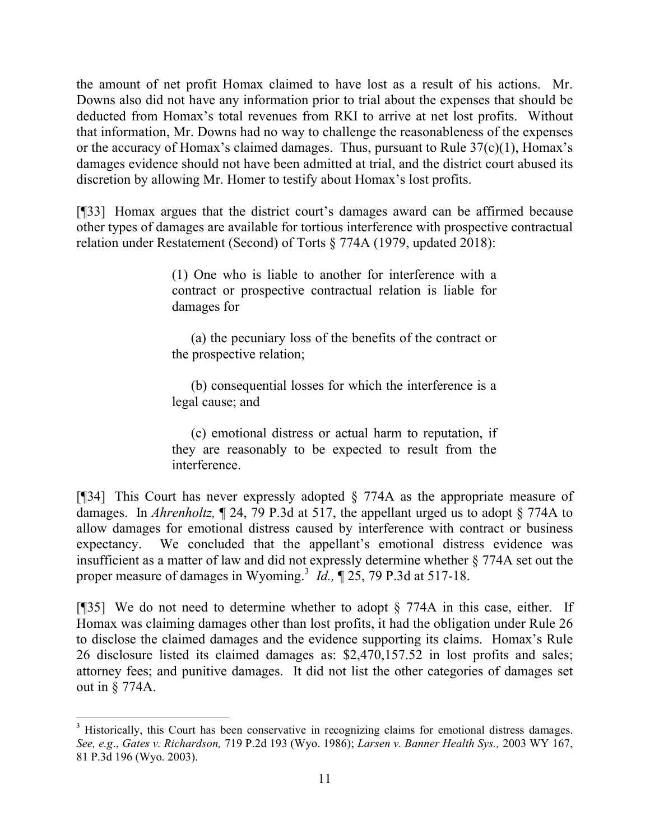the amount of net profit Homax claimed to have lost as a result of his actions. Mr. Downs also did not have any information prior to trial about the expenses that should be deducted from Homax's total revenues from RKI to arrive at net lost profits. Without that information, Mr. Downs had no way to challenge the reasonableness of the expenses or the accuracy of Homax's claimed damages. Thus, pursuant to Rule  $37(c)(1)$ , Homax's damages evidence should not have been admitted at trial, and the district court abused its discretion by allowing Mr. Homer to testify about Homax's lost profits.

[¶33] Homax argues that the district court's damages award can be affirmed because other types of damages are available for tortious interference with prospective contractual relation under Restatement (Second) of Torts § 774A (1979, updated 2018):

> (1) One who is liable to another for interference with a contract or prospective contractual relation is liable for damages for

> (a) the pecuniary loss of the benefits of the contract or the prospective relation;

> (b) consequential losses for which the interference is a legal cause; and

> (c) emotional distress or actual harm to reputation, if they are reasonably to be expected to result from the interference.

[¶34] This Court has never expressly adopted § 774A as the appropriate measure of damages. In *Ahrenholtz,* ¶ 24, 79 P.3d at 517, the appellant urged us to adopt § 774A to allow damages for emotional distress caused by interference with contract or business expectancy. We concluded that the appellant's emotional distress evidence was insufficient as a matter of law and did not expressly determine whether § 774A set out the proper measure of damages in Wyoming.<sup>3</sup> *Id.*,  $\parallel$  25, 79 P.3d at 517-18.

[¶35] We do not need to determine whether to adopt § 774A in this case, either. If Homax was claiming damages other than lost profits, it had the obligation under Rule 26 to disclose the claimed damages and the evidence supporting its claims. Homax's Rule 26 disclosure listed its claimed damages as: \$2,470,157.52 in lost profits and sales; attorney fees; and punitive damages. It did not list the other categories of damages set out in § 774A.

l

<sup>&</sup>lt;sup>3</sup> Historically, this Court has been conservative in recognizing claims for emotional distress damages. *See, e.g*., *Gates v. Richardson,* 719 P.2d 193 (Wyo. 1986); *Larsen v. Banner Health Sys.,* 2003 WY 167, 81 P.3d 196 (Wyo. 2003).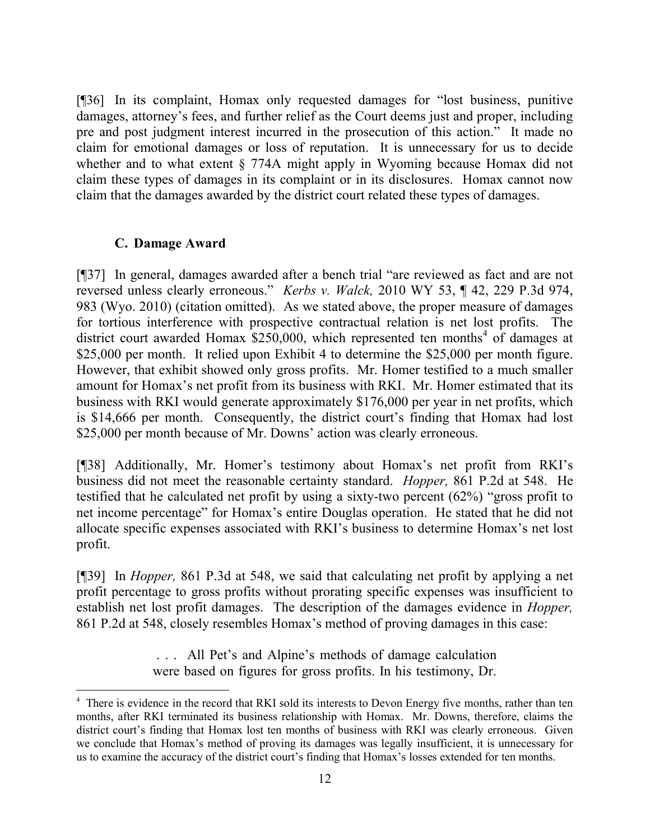[¶36] In its complaint, Homax only requested damages for "lost business, punitive damages, attorney's fees, and further relief as the Court deems just and proper, including pre and post judgment interest incurred in the prosecution of this action." It made no claim for emotional damages or loss of reputation. It is unnecessary for us to decide whether and to what extent § 774A might apply in Wyoming because Homax did not claim these types of damages in its complaint or in its disclosures. Homax cannot now claim that the damages awarded by the district court related these types of damages.

## **C. Damage Award**

 $\overline{a}$ 

[¶37] In general, damages awarded after a bench trial "are reviewed as fact and are not reversed unless clearly erroneous." *Kerbs v. Walck,* 2010 WY 53, ¶ 42, 229 P.3d 974, 983 (Wyo. 2010) (citation omitted). As we stated above, the proper measure of damages for tortious interference with prospective contractual relation is net lost profits. The district court awarded Homax  $$250,000$ , which represented ten months<sup>4</sup> of damages at \$25,000 per month. It relied upon Exhibit 4 to determine the \$25,000 per month figure. However, that exhibit showed only gross profits. Mr. Homer testified to a much smaller amount for Homax's net profit from its business with RKI. Mr. Homer estimated that its business with RKI would generate approximately \$176,000 per year in net profits, which is \$14,666 per month. Consequently, the district court's finding that Homax had lost \$25,000 per month because of Mr. Downs' action was clearly erroneous.

[¶38] Additionally, Mr. Homer's testimony about Homax's net profit from RKI's business did not meet the reasonable certainty standard. *Hopper,* 861 P.2d at 548. He testified that he calculated net profit by using a sixty-two percent (62%) "gross profit to net income percentage" for Homax's entire Douglas operation. He stated that he did not allocate specific expenses associated with RKI's business to determine Homax's net lost profit.

[¶39] In *Hopper,* 861 P.3d at 548, we said that calculating net profit by applying a net profit percentage to gross profits without prorating specific expenses was insufficient to establish net lost profit damages. The description of the damages evidence in *Hopper,*  861 P.2d at 548, closely resembles Homax's method of proving damages in this case:

> . . . All Pet's and Alpine's methods of damage calculation were based on figures for gross profits. In his testimony, Dr.

<sup>&</sup>lt;sup>4</sup> There is evidence in the record that RKI sold its interests to Devon Energy five months, rather than ten months, after RKI terminated its business relationship with Homax. Mr. Downs, therefore, claims the district court's finding that Homax lost ten months of business with RKI was clearly erroneous. Given we conclude that Homax's method of proving its damages was legally insufficient, it is unnecessary for us to examine the accuracy of the district court's finding that Homax's losses extended for ten months.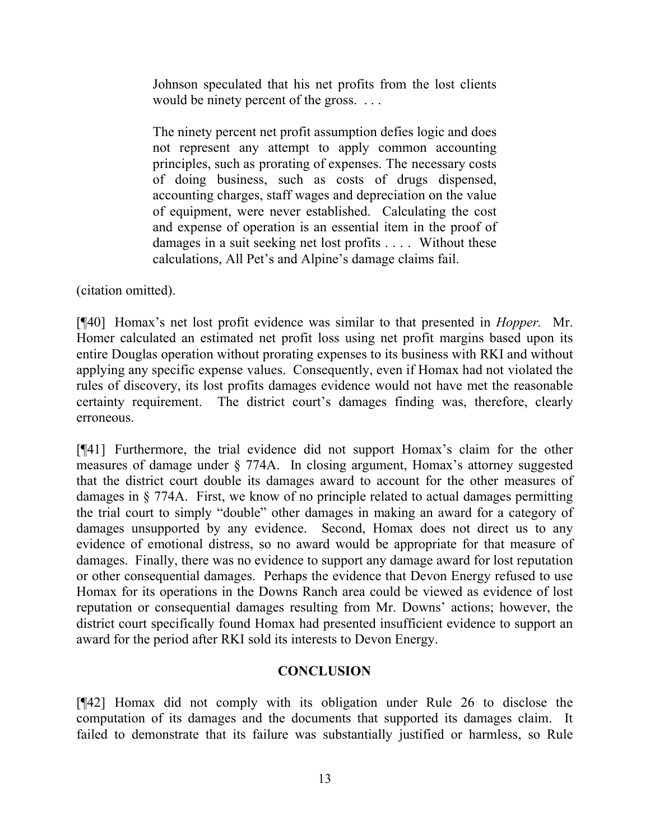Johnson speculated that his net profits from the lost clients would be ninety percent of the gross. ...

The ninety percent net profit assumption defies logic and does not represent any attempt to apply common accounting principles, such as prorating of expenses. The necessary costs of doing business, such as costs of drugs dispensed, accounting charges, staff wages and depreciation on the value of equipment, were never established. Calculating the cost and expense of operation is an essential item in the proof of damages in a suit seeking net lost profits . . . . Without these calculations, All Pet's and Alpine's damage claims fail.

(citation omitted).

[¶40] Homax's net lost profit evidence was similar to that presented in *Hopper.* Mr. Homer calculated an estimated net profit loss using net profit margins based upon its entire Douglas operation without prorating expenses to its business with RKI and without applying any specific expense values. Consequently, even if Homax had not violated the rules of discovery, its lost profits damages evidence would not have met the reasonable certainty requirement. The district court's damages finding was, therefore, clearly erroneous.

[¶41] Furthermore, the trial evidence did not support Homax's claim for the other measures of damage under § 774A. In closing argument, Homax's attorney suggested that the district court double its damages award to account for the other measures of damages in § 774A. First, we know of no principle related to actual damages permitting the trial court to simply "double" other damages in making an award for a category of damages unsupported by any evidence. Second, Homax does not direct us to any evidence of emotional distress, so no award would be appropriate for that measure of damages. Finally, there was no evidence to support any damage award for lost reputation or other consequential damages. Perhaps the evidence that Devon Energy refused to use Homax for its operations in the Downs Ranch area could be viewed as evidence of lost reputation or consequential damages resulting from Mr. Downs' actions; however, the district court specifically found Homax had presented insufficient evidence to support an award for the period after RKI sold its interests to Devon Energy.

# **CONCLUSION**

[¶42] Homax did not comply with its obligation under Rule 26 to disclose the computation of its damages and the documents that supported its damages claim. It failed to demonstrate that its failure was substantially justified or harmless, so Rule